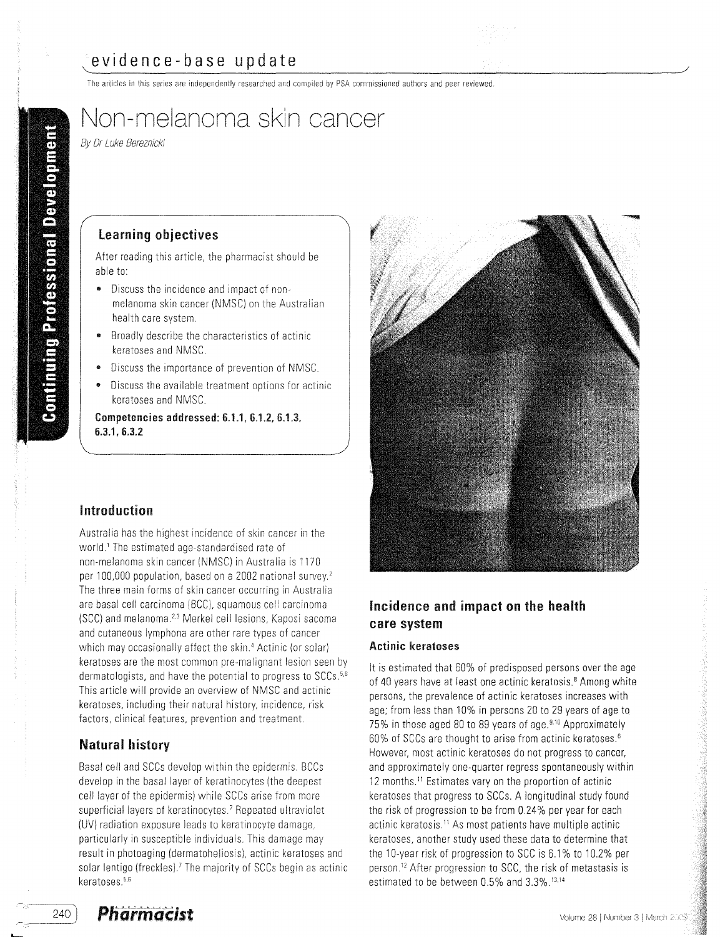The articles in this series are independently researched and compiled by PSA commissioned authors and peer reviewed.

# Non-melanoma skin cancer

By Dr Luke Bereznicki

#### Learning objectives

After reading this article, the pharmacist should be able to:

- Discuss the incidence and impact of nonmelanoma skin cancer (NMSC) on the Australian health care system.
- Broadly describe the characteristics of actinic keratoses and NMSC,
- Discuss the importance of prevention of NMSC.
- Discuss the available treatment options for actinic keratoses and NMSC.

6.3.1,6.3.2 Competencies addressed:  $6.1.1, 6.1.2, 6.1.3$ ,

# Introduction

Australia has the highest incidence of skin cancer in the world.' The estimated age-standardised rate of non-melanoma skin cancer (NMSC) in Australia is 1170 per 100,000 population, based on a 2002 national survey.<sup>2</sup> The three main forms of skin cancer occurring in Australia are basal cell carcinoma (BCC), squamous cell carcinoma (SCC) and melanoma.<sup>2,3</sup> Merkel cell lesions, Kaposi sacoma and cutaneous lymphona are other rare types of cancer which may occasionally affect the skin.<sup>4</sup> Actinic (or solar) keratoses are the most common pre-malignant lesion seen by dermatologists, and have the potential to progress to SCCs.<sup>5,6</sup> This article will provide an overview of NMSC and actinic keratoses, including their natural history, incidence, risk factors, clinical features, prevention and treatment.

# **Natural history**

Basal cell and SCCs develop within the epidermis, BCCs develop in the basal layer of keratinocytes (the deepest cell layer of the epidermis) while SCCs arise from more superficial layers of keratinocytes.<sup>7</sup> Repeated ultraviolet (UV) radiation exposure leads to keratinocyte damage, particularly in susceptible individuals, This damage may result in photoaging (dermatoheliosis), actinic keratoses and solar lentigo (freckles).<sup>7</sup> The majority of SCCs begin as actinic keratoses.<sup>5,6</sup>



# Incidence and impact on the health care system

#### Actinic keratoses

**It** is estimated that 60% of predisposed persons over the age of 40 years have at least one actinic keratosis.<sup>8</sup> Among white persons, the prevalence of actinic keratoses increases with age; from less than 10% in persons 20 to 29 years of age to 75% in those aged 80 to 89 years of age.<sup>9,10</sup> Approximately 60% of SCCs are thought to arise from actinic keratoses.<sup>6</sup> However, most actinic keratoses donot progress to cancer, and approximately one-quarter regress spontaneously within 12 months.<sup>11</sup> Estimates vary on the proportion of actinic keratoses that progress to SCCs. A longitudinal study found the risk of progression to be from 0.24% per year for each actinic keratosis." As most patients have multiple actinic keratoses, another study used these data to determine that the 10-year risk of progression to SCC is 6.1% to 10.2% per person." After progression to SCC, the risk of metastasis is estimated to be between 0.5% and 3.3%.<sup>13,14</sup>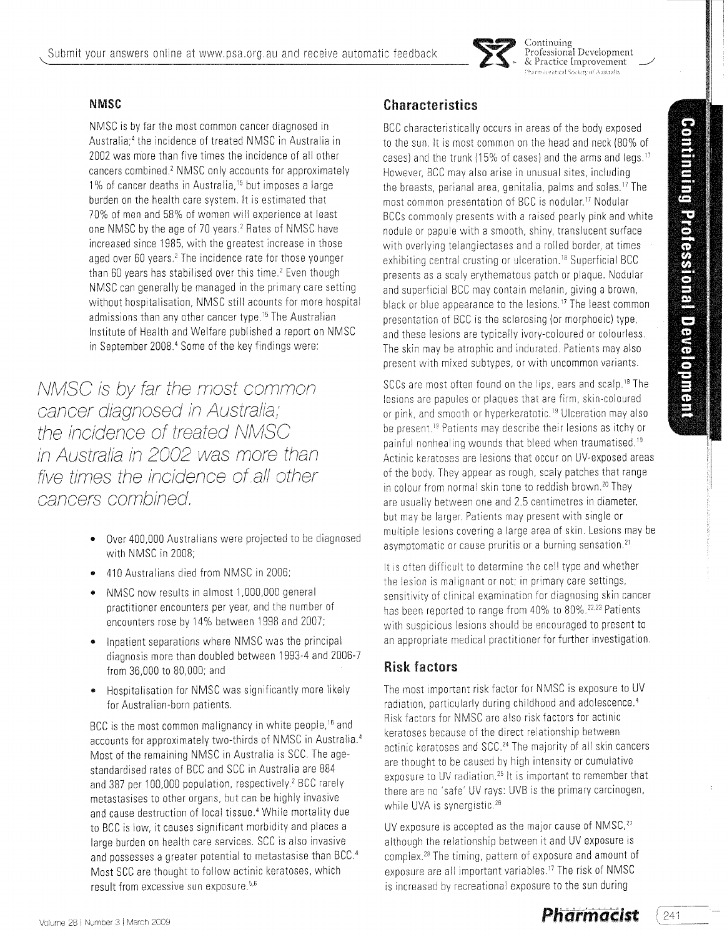

Continuing<br>Professional Development<br>& Practice Improvement centical Society of Australia

### **NMSC**

NMSC is by far the most common cancer diagnosed in Australia:<sup>4</sup> the incidence of treated NMSC in Australia in 2002 was more than five times the incidence of all other cancers combined.' NMSC onlyaccounts for approximately 1% of cancer deaths in Australia,<sup>15</sup> but imposes a large burden on the health care system. It is estimated that 70% of men and 58% of women will experience at least one NMSC by the age of 70 years.<sup>2</sup> Rates of NMSC have increased since 1985, with the greatest increase in those aged over 60 years.<sup>2</sup> The incidence rate for those younger than 60 years has stabilised over this time.<sup>2</sup> Even though NMSC can generally be managed in the primary care setting without hospitalisation, NMSC still acounts for more hospital admissions than any other cancer type.<sup>15</sup> The Australian Institute of Health and Welfare published a report on NMSC in September 2008.<sup>4</sup> Some of the key findings were:

NMSC is by far the most common cancer diagnosed in Australia; the incidence of treated NMSC in Australia in 2002 was more than five times the incidence of all other cancers combined,

- Over 400,000 Australians were projected to be diagnosed with NMSC in 2008:
- 410 Australians died from NMSC in 2006;
- e NMSe now results in almost 1,000,000 general practitioner encounters peryear, and the number of encounters rose by 14% between 1998 and 2007;
- Inpatient separations where NMSC was the principal diagnosis more than doubled between 1993-4 and 2006-7 from 36,000 to 80,000; and
- Hospitalisation for NMSe was significantly more likely for Australian-born patients.

BCC is the most common malignancy in white people,<sup>16</sup> and accounts for approximately two-thirds of NMSC in Australia.<sup>4</sup> Most of the remaining NMSC in Australia is SCC. The agestandardised rates of BCC and SCC in Australia are 884 and 387 per 100,000 population, respectively.<sup>2</sup> BCC rarely metastasises to other organs, but can be highly invasive and cause destruction of local tissue.<sup>4</sup> While mortality due to BCC is low, it causes significant morbidity and places a large burden on health care services. SCC is also invasive and possesses a greater potential to metastasise than BCC.<sup>4</sup> Most SCC are thought to follow actinic keratoses, which result from excessive sun exposure. $5.6$ 

# **Characteristics**

BCC characteristically occurs in areas of the body exposed to the sun. It is most common on the head and neck (80% of cases) and the trunk (15% of cases) and the arms and legs.<sup>17</sup> However, BCe may also arise in unusual sites, including the breasts, perianal area, genitalia, palms and soles." The most common presentation of BCC is nodular.<sup>17</sup> Nodular BCCs commonly presents with a raised pearly pink and white nodule or papule with a smooth, shiny, translucent surface with overlying telangiectases and a rolled border, at times exhibiting central crusting or ulceration.<sup>18</sup> Superficial BCC presents as a scaly erythematous patch or plaque. Nodular and superficial BCC may contain melanin, giving a brown, black or blue appearance to the lesions.<sup>17</sup> The least common presentation of BCC is the sclerosing (or morphoeic) type, and these lesions are typically ivory-coloured or colourless. The skin may be atrophic and indurated. Patients may also present with mixed subtypes, or with uncommon variants.

SCCs are most often found on the lips, ears and scalp.<sup>18</sup> The lesions are papules or plaques that are firm, skin-coloured or pink, and smooth or hyperkeratotic.<sup>19</sup> Ulceration may also be present.<sup>19</sup> Patients may describe their lesions as itchy or painful nonhealing wounds that bleed when traumatised.<sup>19</sup> Actinic keratoses are lesions that occur on UV-exposed areas of the body. They appear as rough, scaly patches that range in colour from normal skin tone to reddish brown.<sup>20</sup> They are usually between one and 2.5 centimetres in diameter, but may be larger. Patients may present with single or multiple lesions covering a large area of skin. Lesions may be asymptomatic or cause pruritis or a burning sensation.<sup>21</sup>

It is often difficult to determine the cell type and whether the lesion is malignant or not; in primary care settings, sensitivity of clinical examination for diagnosing skin cancer has been reported to range from 40% to 80%.<sup>22,23</sup> Patients with suspicious lesions should be encouraged to present to an appropriate medical practitioner for further investigation.

# **Risk factors**

The most important risk factor for NMSC is exposure to UV radiation, particularly during childhood and adolescence.<sup>4</sup> Risk factors for NMSC are also risk factors for actinic keratoses because of the direct relationship between actinic keratoses and SCC.<sup>24</sup> The majority of all skin cancers are thought to be caused by high intensity or cumulative exposure to UV radiation.<sup>25</sup> It is important to remember that there are no 'safe' UV rays: UVB is the primary carcinogen, while UVA is synergistic.<sup>26</sup>

UV exposure is accepted as the major cause of  $NMSC$ , $27$ although the relationship between it and UV exposure is complex.<sup>28</sup> The timing, pattern of exposure and amount of exposure are all important variables.<sup>17</sup> The risk of NMSC is increased by recreational exposure to the sun during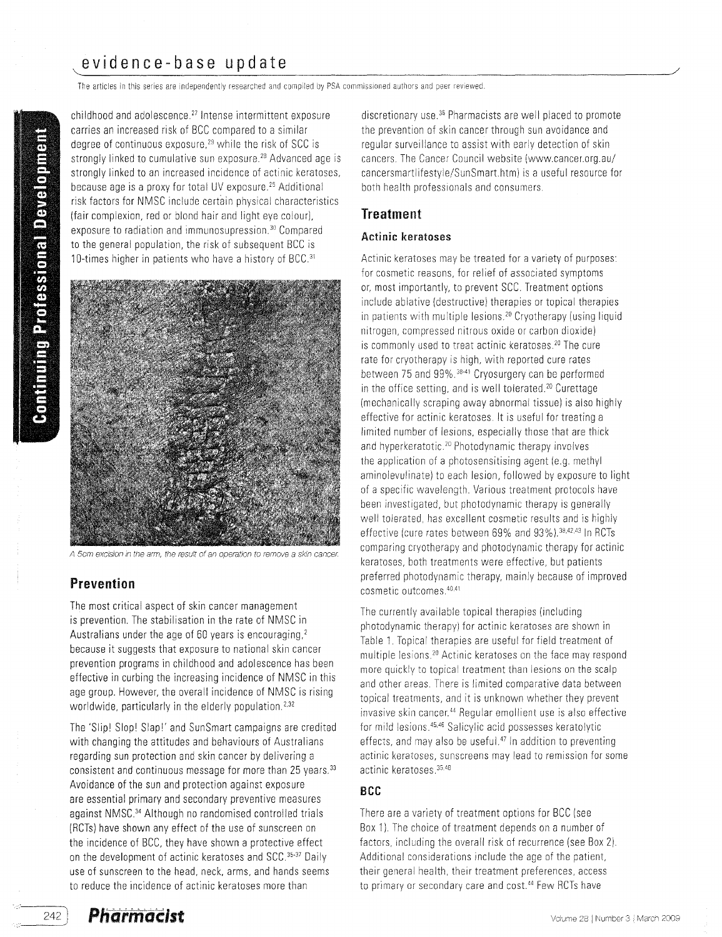# evidence-base update

The articles in this series are independently researched and compiled by PSA commissioned authors and peer reviewed.

childhood and adolescence.<sup>27</sup> Intense intermittent exposure carries an increased risk of BCC compared to a similar degree of continuous exposure.<sup>29</sup> while the risk of SCC is strongly linked to cumulative sun exposure.<sup>28</sup> Advanced age is strongly linked to an increased incidence of actinic keratoses, because age is a proxy for total UV exposure.<sup>25</sup> Additional risk factors for NMSC include certain physical characteristics (fair complexion, red or blond hair and light eye colour), exposure to radiation and immunosupression.<sup>30</sup> Compared to the general population, the risk of subsequent BCC is 10-times higher in patients who have a history of BCC.<sup>31</sup>



A 5cm excision in the arm, the result of an operation to remove a skin cancer.

# **Prevention**

The most critical aspect of skin cancer management is prevention. The stabilisation in the rate of NMSC in Australians under the age of 60 years is encouraging.<sup>2</sup> because it suggests that exposure to national skin cancer prevention programs in childhood and adolescence has been effective in curbing the increasing incidence of NMSC in this age group. However, the overall incidence of NMSC is rising worldwide, particularly in the elderly population.<sup>2,32</sup>

The 'Slip! Slop! Slap!' and SunSmart campaigns are credited with changing the attitudes and behaviours of Australians regarding sun protection and skin cancer by delivering a consistent and continuous message for more than 25 years.<sup>33</sup> Avoidance of the sun and protection against exposure are essential primary and secondary preventive measures against NMSC.34 Although no randomised controlled trials (RCTs) have shown any effect of the use of sunscreen on the incidence of BCC, they have shown a protective effect on the development of actinic keratoses and SCC.<sup>35-37</sup> Daily use of sunscreen to the head, neck, arms, and hands seems to reduce the incidence of actinic keratoses more than

discretionary use.<sup>36</sup> Pharmacists are well placed to promote the prevention of skin cancer through sun avoidance and regular surveillance to assist with early detection of skin cancers. The Cancer Council website (www.cancer.org.au/ cancersmartlifestyle/SunSmart.htm) is a useful resource for both health professionals and consumers.

### **Treatment**

#### Actinic keratoses

Actinic keratoses may be treated for a variety of purposes: for cosmetic reasons, for relief of associated symptoms or, most importantly, to prevent SCC. Treatment options include ablative (destructive) therapies or topical therapies in patients with multiple lesions.<sup>20</sup> Cryotherapy (using liquid nitrogen, compressed nitrous oxide or carbon dioxide) is commonly used to treat actinic keratoses.<sup>20</sup> The cure rate for cryotherapy is high, with reported cure rates between 75 and 99%.<sup>38.41</sup> Cryosurgery can be performed in the office setting, and is well tolerated.<sup>20</sup> Curettage (mechanically scraping awayabnormal tissue) is also highly effective for actinic keratoses. It is useful for treating a limited number of lesions, especially those that are thick and hyperkeratotic.<sup>20</sup> Photodynamic therapy involves the application of a photosensitising agent (e.g. methyl aminolevulinate) to each lesion, followed by exposure to light of a specific wavelength. Various treatment protocols have been investigated, but photodynamic therapy is generally well tolerated, has excellent cosmetic results and is highly effective (cure rates between 69% and 93%).<sup>38,42,43</sup> In RCTs comparing cryotherapy and photodynamic therapy for actinic keratoses, both treatments were effective, but patients preferred photodynamic therapy, mainly because of improved cosmetic outcomes.<sup>40,41</sup>

The currently available topical therapies (including photodynamic therapy) for actinic keratoses are shown in Table 1.Topical therapies are useful for field treatment of multiple lesions.<sup>20</sup> Actinic keratoses on the face may respond more quickly to topical treatment than lesions on the scalp and other areas. There is limited comparative data between topical treatments, and it is unknown whether they prevent invasive skin cancer.<sup>44</sup> Regular emollient use is also effective for mild lesions.45.46 Salicylic acid possesses keratolytic effects, and may also be useful.<sup>47</sup> In addition to preventing actinic keratoses, sunscreens may lead to remission for some actinic keratoses.<sup>35.48</sup>

#### **BCC**

There are a variety of treatment options for BCC (see Box 1). The choice of treatment depends on a number of factors, including the overall risk of recurrence (see Box 2). Additional considerations include the age of the patient, their general health, their treatment preferences, access to primary or secondary care and cost.<sup>44</sup> Few RCTs have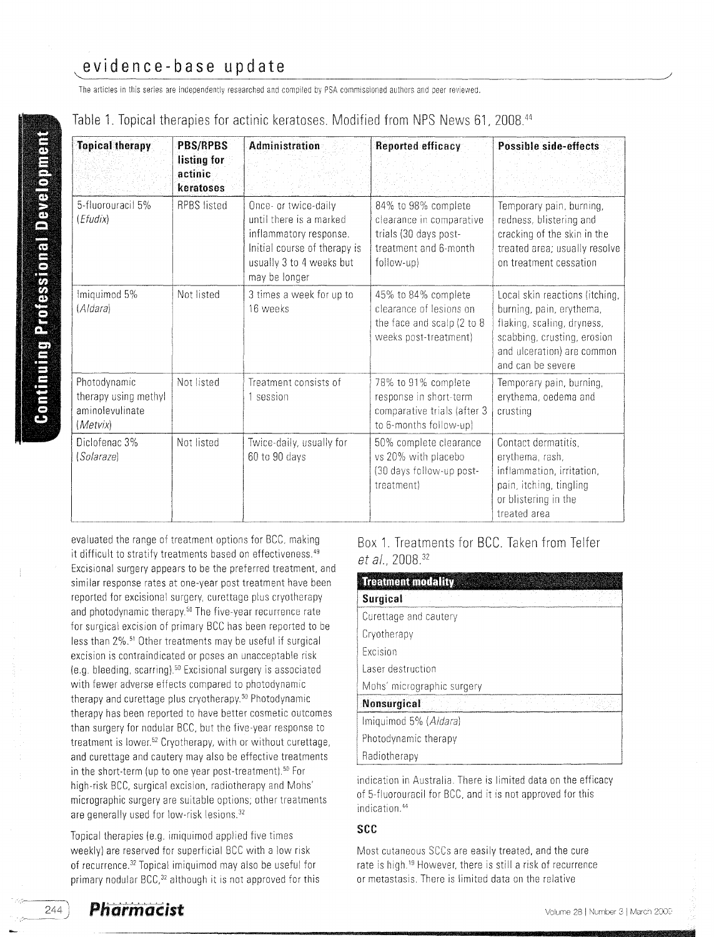# evidence-base update

The articles in this series are independently researched and compiled by PSA commissioned authors and peer reviewed.

|  | Table 1. Topical therapies for actinic keratoses. Modified from NPS News 61, 2008. <sup>44</sup> |  |  |  |  |  |  |  |  |
|--|--------------------------------------------------------------------------------------------------|--|--|--|--|--|--|--|--|
|--|--------------------------------------------------------------------------------------------------|--|--|--|--|--|--|--|--|

| <b>PBS/RPBS</b><br><b>Topical therapy</b><br>listing for<br>actinic<br>keratoses |                                                         | Administration                                                                                                                                         | Reported efficacy                                                                                               | <b>Possible side-effects</b>                                                                                                                                               |  |  |
|----------------------------------------------------------------------------------|---------------------------------------------------------|--------------------------------------------------------------------------------------------------------------------------------------------------------|-----------------------------------------------------------------------------------------------------------------|----------------------------------------------------------------------------------------------------------------------------------------------------------------------------|--|--|
| 5-fluorouracil 5%<br>(Efudix)                                                    | <b>RPBS</b> listed                                      | Once- or twice-daily<br>until there is a marked<br>inflammatory response.<br>Initial course of therapy is<br>usually 3 to 4 weeks but<br>may be longer | 84% to 98% complete<br>clearance in comparative<br>trials (30 days post-<br>treatment and 6-month<br>follow-up) | Temporary pain, burning,<br>redness, blistering and<br>cracking of the skin in the<br>treated area; usually resolve<br>on treatment cessation                              |  |  |
| Imiquimod 5%<br>(Aldara)                                                         | Not listed                                              | 3 times a week for up to<br>16 weeks                                                                                                                   | 45% to 84% complete<br>clearance of lesions on<br>the face and scalp (2 to 8<br>weeks post-treatment)           | Local skin reactions (itching,<br>burning, pain, erythema,<br>flaking, scaling, dryness,<br>scabbing, crusting, erosion<br>and ulceration) are common<br>and can be severe |  |  |
| Photodynamic<br>therapy using methyl<br>aminolevulinate<br>(Metvix)              | Not listed                                              | Treatment consists of<br>1 session                                                                                                                     | 78% to 91% complete<br>response in short-term<br>comparative trials (after 3<br>to 6-months follow-up)          | Temporary pain, burning,<br>erythema, oedema and<br>crusting                                                                                                               |  |  |
| Diclofenac 3%<br>(Solaraze)                                                      | Not listed<br>Twice-daily, usually for<br>60 to 90 days |                                                                                                                                                        | 50% complete clearance<br>vs 20% with placebo<br>(30 days follow-up post-<br>treatment)                         | Contact dermatitis,<br>erythema, rash,<br>inflammation, irritation,<br>pain, itching, tingling<br>or blistering in the<br>treated area                                     |  |  |

evaluated the range of treatment options for BCC, making it difficult to stratify treatments based on effectiveness.<sup>49</sup> Excisional surgery appears to be the preferred treatment, and similar response rates at one-year post treatment have been reported for excisional surgery, curettage plus cryotherapy and photodynamic therapy.<sup>50</sup> The five-year recurrence rate for surgical excision of primary BCC has been reported to be less than 2%.51 Other treatments may be useful if surgical excision is contraindicated or poses an unacceptable risk (e.g. bleeding, scarring).<sup>50</sup> Excisional surgery is associated with fewer adverse effects compared to photodynamic therapy and curettage plus cryotherapy.<sup>50</sup> Photodynamic therapy has been reported to have better cosmetic outcomes than surgery for nodular BCC, but the five-year response to treatment is lower.<sup>52</sup> Cryotherapy, with or without curettage, and curettage and cautery may also be effective treatments in the short-term (up to one year post-treatment).<sup>50</sup> For high-risk BCC, surgical excision, radiotherapy and Mohs' micrographic surgery are suitable options; other treatments are generally used for low-risk lesions.<sup>32</sup>

Topical therapies (e.q. imiquimod applied five times weekly) are reserved for superficial BCC with a low risk of recurrence.<sup>32</sup> Topical imiquimod may also be useful for primary nodular BCC,<sup>32</sup> although it is not approved for this

Box 1. Treatments for BCC. Taken from Telfer et al., 2008.<sup>32</sup>

| <b>Treatment modality</b>  |
|----------------------------|
| <b>Surgical</b>            |
| Curettage and cautery      |
| Cryotherapy                |
| Excision                   |
| Laser destruction          |
| Mohs' micrographic surgery |
| Nonsurgical                |
| Imiquimod 5% (Aldara)      |
| Photodynamic therapy       |
| Radiotherapy               |

indication in Australia. There is limited data on the efficacy of 5-fluorouracil for BCC, and it is not approved for this indication.<sup>44</sup>

#### see

Most cutaneous SCCs are easily treated, and the cure rate is high.<sup>18</sup> However, there is still a risk of recurrence or metastasis. There is limited data on the relative